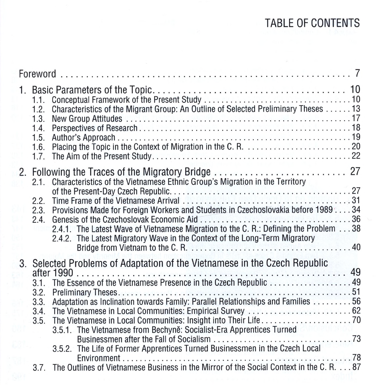## TABLE OF CONTENTS

| 1. | 1.1.<br>1.2.<br>1.3.<br>1.4.<br>1.5.<br>1.6.<br>1.7. | Characteristics of the Migrant Group: An Outline of Selected Preliminary Theses  13                                                                                                                                                                                                                                                                                                                                                                                                 |  |
|----|------------------------------------------------------|-------------------------------------------------------------------------------------------------------------------------------------------------------------------------------------------------------------------------------------------------------------------------------------------------------------------------------------------------------------------------------------------------------------------------------------------------------------------------------------|--|
|    | 2.1.<br>2.2.<br>2.3.<br>2.4.                         | 2. Following the Traces of the Migratory Bridge  27<br>Characteristics of the Vietnamese Ethnic Group's Migration in the Territory<br>Provisions Made for Foreign Workers and Students in Czechoslovakia before 1989 34<br>2.4.1. The Latest Wave of Vietnamese Migration to the C. R.: Defining the Problem 38<br>2.4.2. The Latest Migratory Wave in the Context of the Long-Term Migratory                                                                                       |  |
|    | 3.1.<br>3.2.<br>3.3.<br>3.4.<br>3.5.<br>3.7.         | 3. Selected Problems of Adaptation of the Vietnamese in the Czech Republic<br>The Essence of the Vietnamese Presence in the Czech Republic 49<br>Adaptation as Inclination towards Family: Parallel Relationships and Families 56<br>3.5.1. The Vietnamese from Bechyně: Socialist-Era Apprentices Turned<br>3.5.2. The Life of Former Apprentices Turned Businessmen in the Czech Local<br>The Outlines of Vietnamese Business in the Mirror of the Social Context in the C. R. 87 |  |
|    |                                                      |                                                                                                                                                                                                                                                                                                                                                                                                                                                                                     |  |